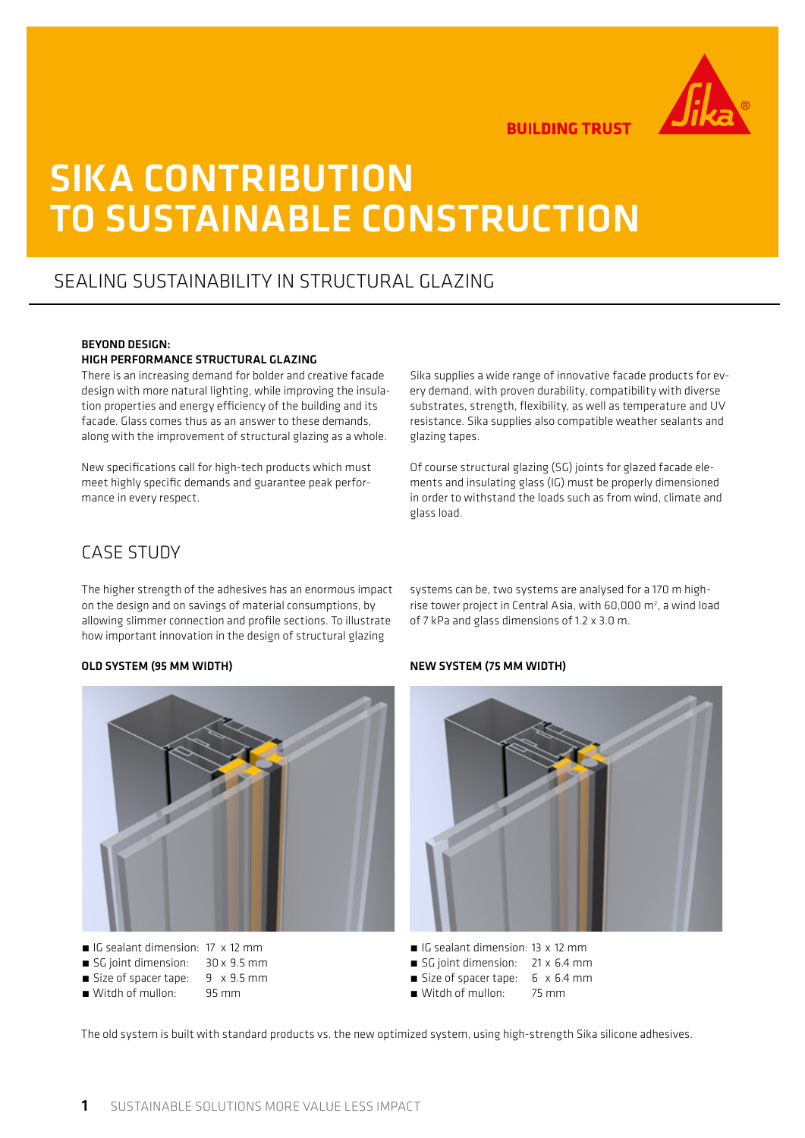

**BUILDING TRUST** 

# SIKA CONTRIBUTION TO SUSTAINABLE CONSTRUCTION

# SEALING SUSTAINABILITY IN STRUCTURAL GLAZING

### BEYOND DESIGN:

### HIGH PERFORMANCE STRUCTURAL GLAZING

There is an increasing demand for bolder and creative facade design with more natural lighting, while improving the insulation properties and energy efficiency of the building and its facade. Glass comes thus as an answer to these demands, along with the improvement of structural glazing as a whole.

New specifications call for high-tech products which must meet highly specific demands and guarantee peak performance in every respect.

Sika supplies a wide range of innovative facade products for every demand, with proven durability, compatibility with diverse substrates, strength, flexibility, as well as temperature and UV resistance. Sika supplies also compatible weather sealants and glazing tapes.

Of course structural glazing (SG) joints for glazed facade elements and insulating glass (IG) must be properly dimensioned in order to withstand the loads such as from wind, climate and glass load.

## CASE STUDY

The higher strength of the adhesives has an enormous impact on the design and on savings of material consumptions, by allowing slimmer connection and profile sections. To illustrate how important innovation in the design of structural glazing

### systems can be, two systems are analysed for a 170 m highrise tower project in Central Asia, with  $60,000$  m<sup>2</sup>, a wind load of 7 kPa and glass dimensions of 1.2 x 3.0 m.



- IG sealant dimension: 17 x 12 mm
- SG joint dimension: 30 x 9.5 mm
- Size of spacer tape: 9 x 9.5 mm
- Witdh of mullon: 95 mm





- IG sealant dimension: 13 x 12 mm
- SG joint dimension: 21 x 6.4 mm
- Size of spacer tape: 6 x 6.4 mm
- Witdh of mullon: 75 mm

The old system is built with standard products vs. the new optimized system, using high-strength Sika silicone adhesives.